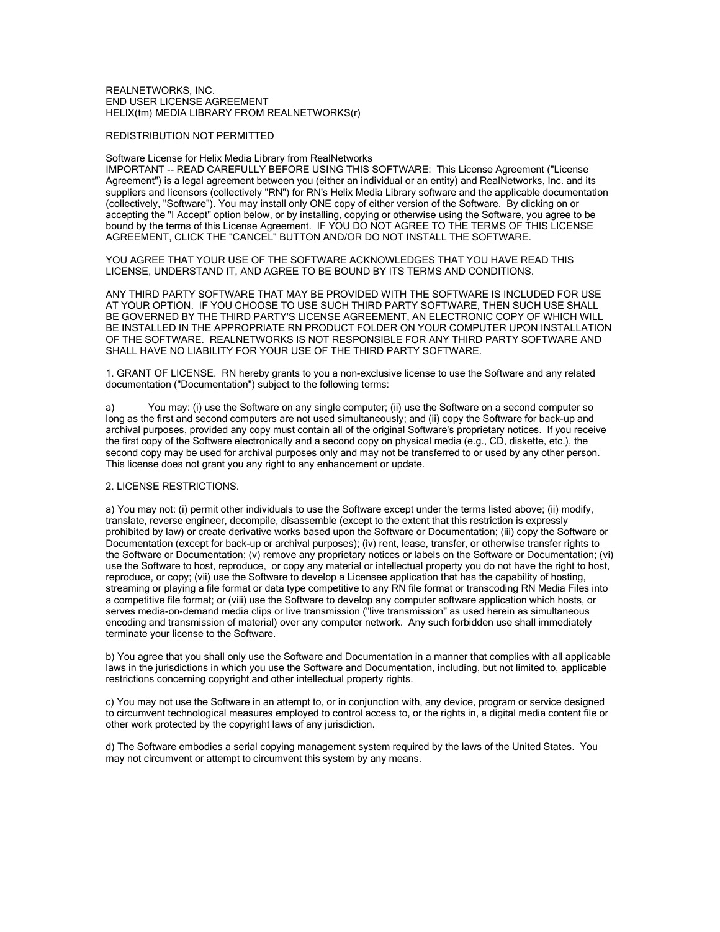## REALNETWORKS, INC. END USER LICENSE AGREEMENT HELIX(tm) MEDIA LIBRARY FROM REALNETWORKS(r)

## REDISTRIBUTION NOT PERMITTED

## Software License for Helix Media Library from RealNetworks

IMPORTANT -- READ CAREFULLY BEFORE USING THIS SOFTWARE: This License Agreement ("License Agreement") is a legal agreement between you (either an individual or an entity) and RealNetworks, Inc. and its suppliers and licensors (collectively "RN") for RN's Helix Media Library software and the applicable documentation (collectively, "Software"). You may install only ONE copy of either version of the Software. By clicking on or accepting the "I Accept" option below, or by installing, copying or otherwise using the Software, you agree to be bound by the terms of this License Agreement. IF YOU DO NOT AGREE TO THE TERMS OF THIS LICENSE AGREEMENT, CLICK THE "CANCEL" BUTTON AND/OR DO NOT INSTALL THE SOFTWARE.

YOU AGREE THAT YOUR USE OF THE SOFTWARE ACKNOWLEDGES THAT YOU HAVE READ THIS LICENSE, UNDERSTAND IT, AND AGREE TO BE BOUND BY ITS TERMS AND CONDITIONS.

ANY THIRD PARTY SOFTWARE THAT MAY BE PROVIDED WITH THE SOFTWARE IS INCLUDED FOR USE AT YOUR OPTION. IF YOU CHOOSE TO USE SUCH THIRD PARTY SOFTWARE, THEN SUCH USE SHALL BE GOVERNED BY THE THIRD PARTY'S LICENSE AGREEMENT, AN ELECTRONIC COPY OF WHICH WILL BE INSTALLED IN THE APPROPRIATE RN PRODUCT FOLDER ON YOUR COMPUTER UPON INSTALLATION OF THE SOFTWARE. REALNETWORKS IS NOT RESPONSIBLE FOR ANY THIRD PARTY SOFTWARE AND SHALL HAVE NO LIABILITY FOR YOUR USE OF THE THIRD PARTY SOFTWARE.

1. GRANT OF LICENSE. RN hereby grants to you a non-exclusive license to use the Software and any related documentation ("Documentation") subject to the following terms:

a) You may: (i) use the Software on any single computer; (ii) use the Software on a second computer so long as the first and second computers are not used simultaneously; and (ii) copy the Software for back-up and archival purposes, provided any copy must contain all of the original Software's proprietary notices. If you receive the first copy of the Software electronically and a second copy on physical media (e.g., CD, diskette, etc.), the second copy may be used for archival purposes only and may not be transferred to or used by any other person. This license does not grant you any right to any enhancement or update.

## 2. LICENSE RESTRICTIONS.

a) You may not: (i) permit other individuals to use the Software except under the terms listed above; (ii) modify, translate, reverse engineer, decompile, disassemble (except to the extent that this restriction is expressly prohibited by law) or create derivative works based upon the Software or Documentation; (iii) copy the Software or Documentation (except for back-up or archival purposes); (iv) rent, lease, transfer, or otherwise transfer rights to the Software or Documentation; (v) remove any proprietary notices or labels on the Software or Documentation; (vi) use the Software to host, reproduce, or copy any material or intellectual property you do not have the right to host, reproduce, or copy; (vii) use the Software to develop a Licensee application that has the capability of hosting, streaming or playing a file format or data type competitive to any RN file format or transcoding RN Media Files into a competitive file format; or (viii) use the Software to develop any computer software application which hosts, or serves media-on-demand media clips or live transmission ("live transmission" as used herein as simultaneous encoding and transmission of material) over any computer network. Any such forbidden use shall immediately terminate your license to the Software.

b) You agree that you shall only use the Software and Documentation in a manner that complies with all applicable laws in the jurisdictions in which you use the Software and Documentation, including, but not limited to, applicable restrictions concerning copyright and other intellectual property rights.

c) You may not use the Software in an attempt to, or in conjunction with, any device, program or service designed to circumvent technological measures employed to control access to, or the rights in, a digital media content file or other work protected by the copyright laws of any jurisdiction.

d) The Software embodies a serial copying management system required by the laws of the United States. You may not circumvent or attempt to circumvent this system by any means.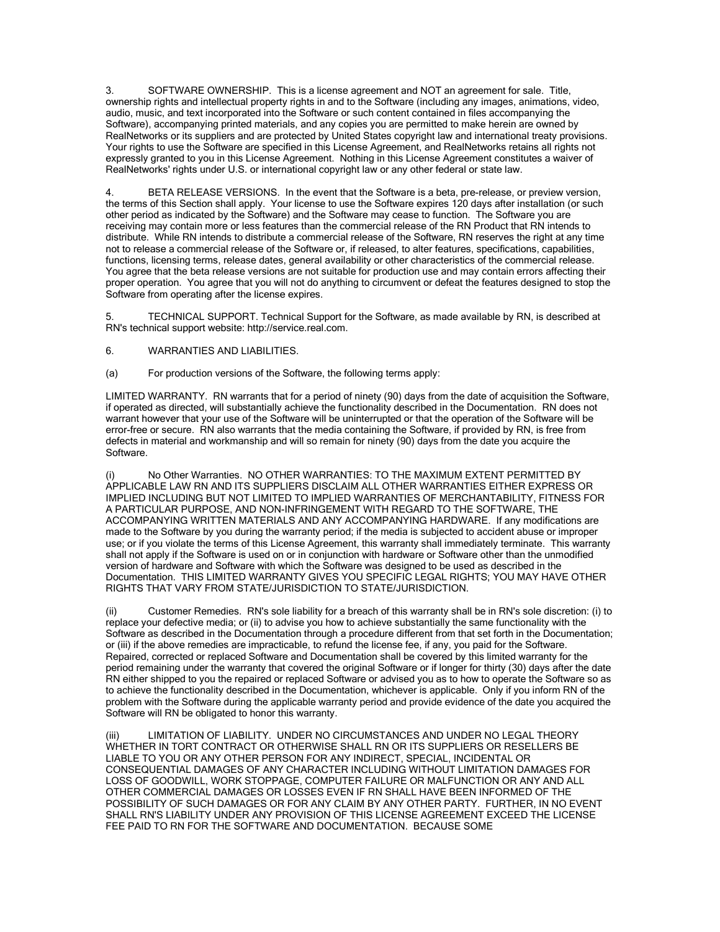3. SOFTWARE OWNERSHIP. This is a license agreement and NOT an agreement for sale. Title, ownership rights and intellectual property rights in and to the Software (including any images, animations, video, audio, music, and text incorporated into the Software or such content contained in files accompanying the Software), accompanying printed materials, and any copies you are permitted to make herein are owned by RealNetworks or its suppliers and are protected by United States copyright law and international treaty provisions. Your rights to use the Software are specified in this License Agreement, and RealNetworks retains all rights not expressly granted to you in this License Agreement. Nothing in this License Agreement constitutes a waiver of RealNetworks' rights under U.S. or international copyright law or any other federal or state law.

4. BETA RELEASE VERSIONS. In the event that the Software is a beta, pre-release, or preview version, the terms of this Section shall apply. Your license to use the Software expires 120 days after installation (or such other period as indicated by the Software) and the Software may cease to function. The Software you are receiving may contain more or less features than the commercial release of the RN Product that RN intends to distribute. While RN intends to distribute a commercial release of the Software, RN reserves the right at any time not to release a commercial release of the Software or, if released, to alter features, specifications, capabilities, functions, licensing terms, release dates, general availability or other characteristics of the commercial release. You agree that the beta release versions are not suitable for production use and may contain errors affecting their proper operation. You agree that you will not do anything to circumvent or defeat the features designed to stop the Software from operating after the license expires.

5. TECHNICAL SUPPORT. Technical Support for the Software, as made available by RN, is described at RN's technical support website: http://service.real.com.

- 6. WARRANTIES AND LIABILITIES.
- (a) For production versions of the Software, the following terms apply:

LIMITED WARRANTY. RN warrants that for a period of ninety (90) days from the date of acquisition the Software, if operated as directed, will substantially achieve the functionality described in the Documentation. RN does not warrant however that your use of the Software will be uninterrupted or that the operation of the Software will be error-free or secure. RN also warrants that the media containing the Software, if provided by RN, is free from defects in material and workmanship and will so remain for ninety (90) days from the date you acquire the Software.

No Other Warranties. NO OTHER WARRANTIES: TO THE MAXIMUM EXTENT PERMITTED BY APPLICABLE LAW RN AND ITS SUPPLIERS DISCLAIM ALL OTHER WARRANTIES EITHER EXPRESS OR IMPLIED INCLUDING BUT NOT LIMITED TO IMPLIED WARRANTIES OF MERCHANTABILITY, FITNESS FOR A PARTICULAR PURPOSE, AND NON-INFRINGEMENT WITH REGARD TO THE SOFTWARE, THE ACCOMPANYING WRITTEN MATERIALS AND ANY ACCOMPANYING HARDWARE. If any modifications are made to the Software by you during the warranty period; if the media is subjected to accident abuse or improper use; or if you violate the terms of this License Agreement, this warranty shall immediately terminate. This warranty shall not apply if the Software is used on or in conjunction with hardware or Software other than the unmodified version of hardware and Software with which the Software was designed to be used as described in the Documentation. THIS LIMITED WARRANTY GIVES YOU SPECIFIC LEGAL RIGHTS; YOU MAY HAVE OTHER RIGHTS THAT VARY FROM STATE/JURISDICTION TO STATE/JURISDICTION.

(ii) Customer Remedies. RN's sole liability for a breach of this warranty shall be in RN's sole discretion: (i) to replace your defective media; or (ii) to advise you how to achieve substantially the same functionality with the Software as described in the Documentation through a procedure different from that set forth in the Documentation; or (iii) if the above remedies are impracticable, to refund the license fee, if any, you paid for the Software. Repaired, corrected or replaced Software and Documentation shall be covered by this limited warranty for the period remaining under the warranty that covered the original Software or if longer for thirty (30) days after the date RN either shipped to you the repaired or replaced Software or advised you as to how to operate the Software so as to achieve the functionality described in the Documentation, whichever is applicable. Only if you inform RN of the problem with the Software during the applicable warranty period and provide evidence of the date you acquired the Software will RN be obligated to honor this warranty.

LIMITATION OF LIABILITY. UNDER NO CIRCUMSTANCES AND UNDER NO LEGAL THEORY WHETHER IN TORT CONTRACT OR OTHERWISE SHALL RN OR ITS SUPPLIERS OR RESELLERS BE LIABLE TO YOU OR ANY OTHER PERSON FOR ANY INDIRECT, SPECIAL, INCIDENTAL OR CONSEQUENTIAL DAMAGES OF ANY CHARACTER INCLUDING WITHOUT LIMITATION DAMAGES FOR LOSS OF GOODWILL, WORK STOPPAGE, COMPUTER FAILURE OR MALFUNCTION OR ANY AND ALL OTHER COMMERCIAL DAMAGES OR LOSSES EVEN IF RN SHALL HAVE BEEN INFORMED OF THE POSSIBILITY OF SUCH DAMAGES OR FOR ANY CLAIM BY ANY OTHER PARTY. FURTHER, IN NO EVENT SHALL RN'S LIABILITY UNDER ANY PROVISION OF THIS LICENSE AGREEMENT EXCEED THE LICENSE FEE PAID TO RN FOR THE SOFTWARE AND DOCUMENTATION. BECAUSE SOME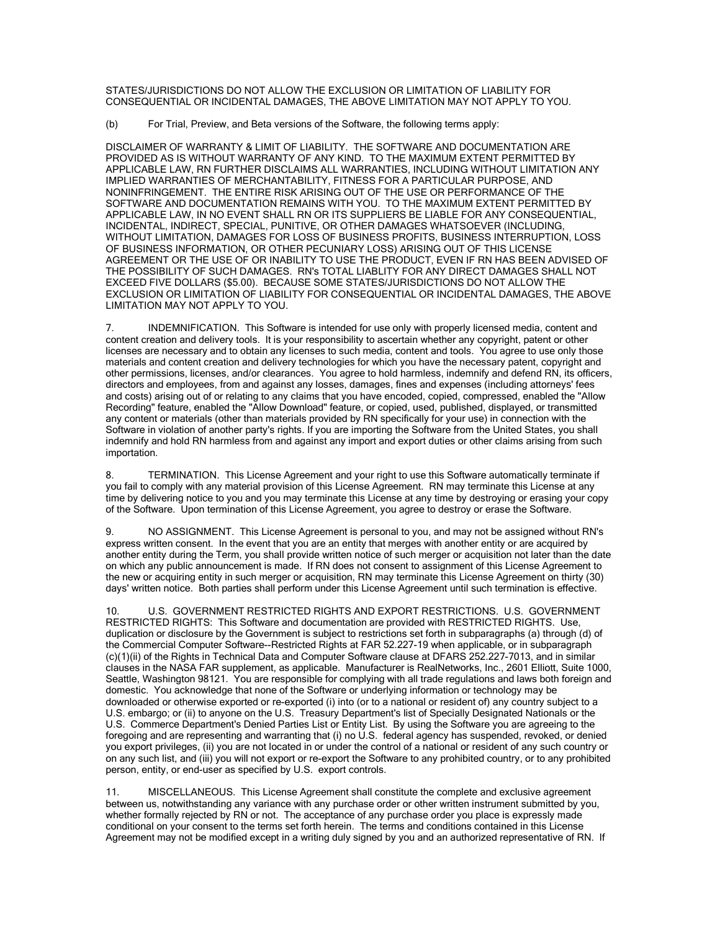STATES/JURISDICTIONS DO NOT ALLOW THE EXCLUSION OR LIMITATION OF LIABILITY FOR CONSEQUENTIAL OR INCIDENTAL DAMAGES, THE ABOVE LIMITATION MAY NOT APPLY TO YOU.

(b) For Trial, Preview, and Beta versions of the Software, the following terms apply:

DISCLAIMER OF WARRANTY & LIMIT OF LIABILITY. THE SOFTWARE AND DOCUMENTATION ARE PROVIDED AS IS WITHOUT WARRANTY OF ANY KIND. TO THE MAXIMUM EXTENT PERMITTED BY APPLICABLE LAW, RN FURTHER DISCLAIMS ALL WARRANTIES, INCLUDING WITHOUT LIMITATION ANY IMPLIED WARRANTIES OF MERCHANTABILITY, FITNESS FOR A PARTICULAR PURPOSE, AND NONINFRINGEMENT. THE ENTIRE RISK ARISING OUT OF THE USE OR PERFORMANCE OF THE SOFTWARE AND DOCUMENTATION REMAINS WITH YOU. TO THE MAXIMUM EXTENT PERMITTED BY APPLICABLE LAW, IN NO EVENT SHALL RN OR ITS SUPPLIERS BE LIABLE FOR ANY CONSEQUENTIAL, INCIDENTAL, INDIRECT, SPECIAL, PUNITIVE, OR OTHER DAMAGES WHATSOEVER (INCLUDING, WITHOUT LIMITATION, DAMAGES FOR LOSS OF BUSINESS PROFITS, BUSINESS INTERRUPTION, LOSS OF BUSINESS INFORMATION, OR OTHER PECUNIARY LOSS) ARISING OUT OF THIS LICENSE AGREEMENT OR THE USE OF OR INABILITY TO USE THE PRODUCT, EVEN IF RN HAS BEEN ADVISED OF THE POSSIBILITY OF SUCH DAMAGES. RN's TOTAL LIABLITY FOR ANY DIRECT DAMAGES SHALL NOT EXCEED FIVE DOLLARS (\$5.00). BECAUSE SOME STATES/JURISDICTIONS DO NOT ALLOW THE EXCLUSION OR LIMITATION OF LIABILITY FOR CONSEQUENTIAL OR INCIDENTAL DAMAGES, THE ABOVE LIMITATION MAY NOT APPLY TO YOU.

7. INDEMNIFICATION. This Software is intended for use only with properly licensed media, content and content creation and delivery tools. It is your responsibility to ascertain whether any copyright, patent or other licenses are necessary and to obtain any licenses to such media, content and tools. You agree to use only those materials and content creation and delivery technologies for which you have the necessary patent, copyright and other permissions, licenses, and/or clearances. You agree to hold harmless, indemnify and defend RN, its officers, directors and employees, from and against any losses, damages, fines and expenses (including attorneys' fees and costs) arising out of or relating to any claims that you have encoded, copied, compressed, enabled the "Allow Recording" feature, enabled the "Allow Download" feature, or copied, used, published, displayed, or transmitted any content or materials (other than materials provided by RN specifically for your use) in connection with the Software in violation of another party's rights. If you are importing the Software from the United States, you shall indemnify and hold RN harmless from and against any import and export duties or other claims arising from such importation.

8. TERMINATION. This License Agreement and your right to use this Software automatically terminate if you fail to comply with any material provision of this License Agreement. RN may terminate this License at any time by delivering notice to you and you may terminate this License at any time by destroying or erasing your copy of the Software. Upon termination of this License Agreement, you agree to destroy or erase the Software.

9. NO ASSIGNMENT. This License Agreement is personal to you, and may not be assigned without RN's express written consent. In the event that you are an entity that merges with another entity or are acquired by another entity during the Term, you shall provide written notice of such merger or acquisition not later than the date on which any public announcement is made. If RN does not consent to assignment of this License Agreement to the new or acquiring entity in such merger or acquisition, RN may terminate this License Agreement on thirty (30) days' written notice. Both parties shall perform under this License Agreement until such termination is effective.

10. U.S. GOVERNMENT RESTRICTED RIGHTS AND EXPORT RESTRICTIONS. U.S. GOVERNMENT RESTRICTED RIGHTS: This Software and documentation are provided with RESTRICTED RIGHTS. Use, duplication or disclosure by the Government is subject to restrictions set forth in subparagraphs (a) through (d) of the Commercial Computer Software--Restricted Rights at FAR 52.227-19 when applicable, or in subparagraph (c)(1)(ii) of the Rights in Technical Data and Computer Software clause at DFARS 252.227-7013, and in similar clauses in the NASA FAR supplement, as applicable. Manufacturer is RealNetworks, Inc., 2601 Elliott, Suite 1000, Seattle, Washington 98121. You are responsible for complying with all trade regulations and laws both foreign and domestic. You acknowledge that none of the Software or underlying information or technology may be downloaded or otherwise exported or re-exported (i) into (or to a national or resident of) any country subject to a U.S. embargo; or (ii) to anyone on the U.S. Treasury Department's list of Specially Designated Nationals or the U.S. Commerce Department's Denied Parties List or Entity List. By using the Software you are agreeing to the foregoing and are representing and warranting that (i) no U.S. federal agency has suspended, revoked, or denied you export privileges, (ii) you are not located in or under the control of a national or resident of any such country or on any such list, and (iii) you will not export or re-export the Software to any prohibited country, or to any prohibited person, entity, or end-user as specified by U.S. export controls.

11. MISCELLANEOUS. This License Agreement shall constitute the complete and exclusive agreement between us, notwithstanding any variance with any purchase order or other written instrument submitted by you, whether formally rejected by RN or not. The acceptance of any purchase order you place is expressly made conditional on your consent to the terms set forth herein. The terms and conditions contained in this License Agreement may not be modified except in a writing duly signed by you and an authorized representative of RN. If